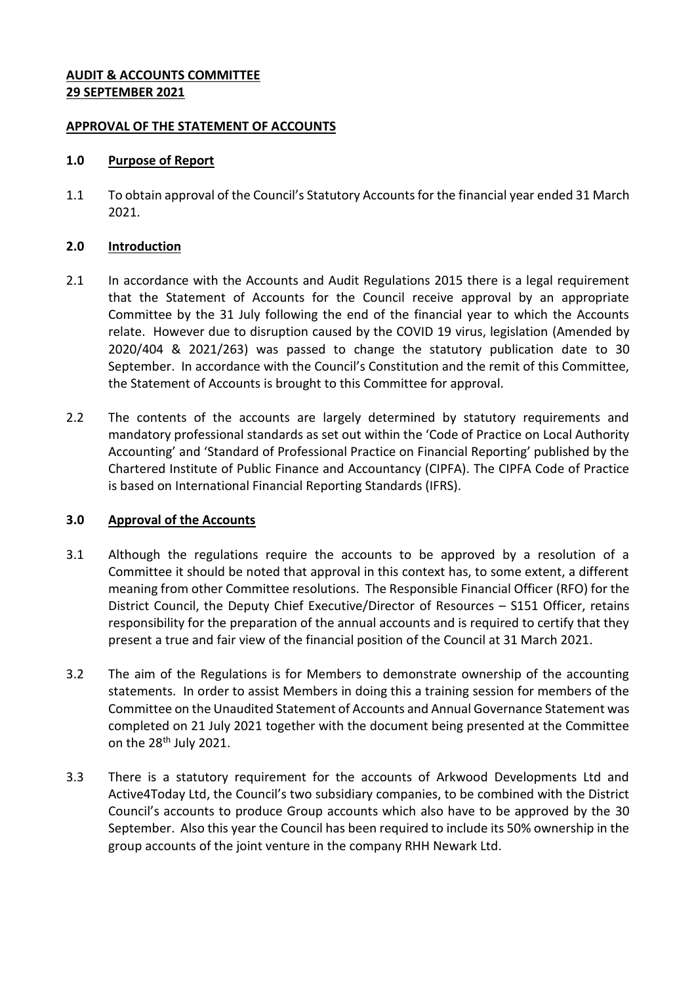## **AUDIT & ACCOUNTS COMMITTEE 29 SEPTEMBER 2021**

### **APPROVAL OF THE STATEMENT OF ACCOUNTS**

### **1.0 Purpose of Report**

1.1 To obtain approval of the Council's Statutory Accounts for the financial year ended 31 March 2021.

## **2.0 Introduction**

- 2.1 In accordance with the Accounts and Audit Regulations 2015 there is a legal requirement that the Statement of Accounts for the Council receive approval by an appropriate Committee by the 31 July following the end of the financial year to which the Accounts relate. However due to disruption caused by the COVID 19 virus, legislation (Amended by 2020/404 & 2021/263) was passed to change the statutory publication date to 30 September. In accordance with the Council's Constitution and the remit of this Committee, the Statement of Accounts is brought to this Committee for approval.
- 2.2 The contents of the accounts are largely determined by statutory requirements and mandatory professional standards as set out within the 'Code of Practice on Local Authority Accounting' and 'Standard of Professional Practice on Financial Reporting' published by the Chartered Institute of Public Finance and Accountancy (CIPFA). The CIPFA Code of Practice is based on International Financial Reporting Standards (IFRS).

# **3.0 Approval of the Accounts**

- 3.1 Although the regulations require the accounts to be approved by a resolution of a Committee it should be noted that approval in this context has, to some extent, a different meaning from other Committee resolutions. The Responsible Financial Officer (RFO) for the District Council, the Deputy Chief Executive/Director of Resources – S151 Officer, retains responsibility for the preparation of the annual accounts and is required to certify that they present a true and fair view of the financial position of the Council at 31 March 2021.
- 3.2 The aim of the Regulations is for Members to demonstrate ownership of the accounting statements. In order to assist Members in doing this a training session for members of the Committee on the Unaudited Statement of Accounts and Annual Governance Statement was completed on 21 July 2021 together with the document being presented at the Committee on the 28<sup>th</sup> July 2021.
- 3.3 There is a statutory requirement for the accounts of Arkwood Developments Ltd and Active4Today Ltd, the Council's two subsidiary companies, to be combined with the District Council's accounts to produce Group accounts which also have to be approved by the 30 September. Also this year the Council has been required to include its 50% ownership in the group accounts of the joint venture in the company RHH Newark Ltd.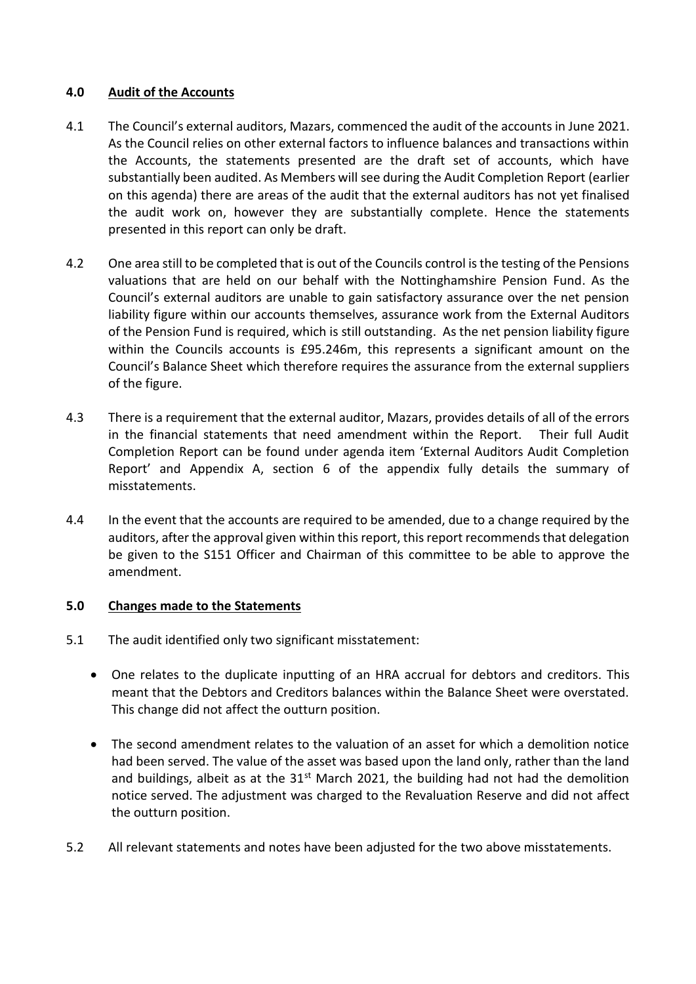# **4.0 Audit of the Accounts**

- 4.1 The Council's external auditors, Mazars, commenced the audit of the accounts in June 2021. As the Council relies on other external factors to influence balances and transactions within the Accounts, the statements presented are the draft set of accounts, which have substantially been audited. As Members will see during the Audit Completion Report (earlier on this agenda) there are areas of the audit that the external auditors has not yet finalised the audit work on, however they are substantially complete. Hence the statements presented in this report can only be draft.
- 4.2 One area still to be completed that is out of the Councils control is the testing of the Pensions valuations that are held on our behalf with the Nottinghamshire Pension Fund. As the Council's external auditors are unable to gain satisfactory assurance over the net pension liability figure within our accounts themselves, assurance work from the External Auditors of the Pension Fund is required, which is still outstanding. As the net pension liability figure within the Councils accounts is £95.246m, this represents a significant amount on the Council's Balance Sheet which therefore requires the assurance from the external suppliers of the figure.
- 4.3 There is a requirement that the external auditor, Mazars, provides details of all of the errors in the financial statements that need amendment within the Report. Their full Audit Completion Report can be found under agenda item 'External Auditors Audit Completion Report' and Appendix A, section 6 of the appendix fully details the summary of misstatements.
- 4.4 In the event that the accounts are required to be amended, due to a change required by the auditors, after the approval given within this report, this report recommends that delegation be given to the S151 Officer and Chairman of this committee to be able to approve the amendment.

#### **5.0 Changes made to the Statements**

- 5.1 The audit identified only two significant misstatement:
	- One relates to the duplicate inputting of an HRA accrual for debtors and creditors. This meant that the Debtors and Creditors balances within the Balance Sheet were overstated. This change did not affect the outturn position.
	- The second amendment relates to the valuation of an asset for which a demolition notice had been served. The value of the asset was based upon the land only, rather than the land and buildings, albeit as at the  $31<sup>st</sup>$  March 2021, the building had not had the demolition notice served. The adjustment was charged to the Revaluation Reserve and did not affect the outturn position.
- 5.2 All relevant statements and notes have been adjusted for the two above misstatements.